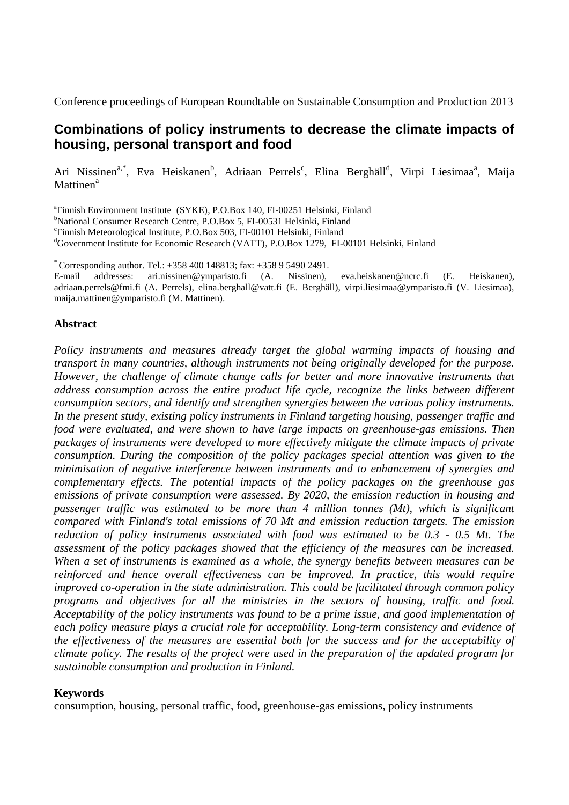Conference proceedings of European Roundtable on Sustainable Consumption and Production 2013

# **Combinations of policy instruments to decrease the climate impacts of housing, personal transport and food**

Ari Nissinen<sup>a,\*</sup>, Eva Heiskanen<sup>b</sup>, Adriaan Perrels<sup>c</sup>, Elina Berghäll<sup>d</sup>, Virpi Liesimaa<sup>a</sup>, Maija Mattinen<sup>a</sup>

a Finnish Environment Institute (SYKE), P.O.Box 140, FI-00251 Helsinki, Finland

<sup>b</sup>National Consumer Research Centre, P.O.Box 5, FI-00531 Helsinki, Finland

c Finnish Meteorological Institute, P.O.Box 503, FI-00101 Helsinki, Finland

<sup>d</sup>Government Institute for Economic Research (VATT), P.O.Box 1279, FI-00101 Helsinki, Finland

 $*$  Corresponding author. Tel.:  $+358\,400\,148813$ ; fax:  $+358\,9\,5490\,2491$ .

E-mail addresses: ari.nissinen@ymparisto.fi (A. Nissinen), eva.heiskanen@ncrc.fi (E. Heiskanen), adriaan.perrels@fmi.fi (A. Perrels), elina.berghall@vatt.fi (E. Berghäll), virpi.liesimaa@ymparisto.fi (V. Liesimaa), maija.mattinen@ymparisto.fi (M. Mattinen).

### **Abstract**

*Policy instruments and measures already target the global warming impacts of housing and transport in many countries, although instruments not being originally developed for the purpose. However, the challenge of climate change calls for better and more innovative instruments that address consumption across the entire product life cycle, recognize the links between different consumption sectors, and identify and strengthen synergies between the various policy instruments. In the present study, existing policy instruments in Finland targeting housing, passenger traffic and food were evaluated, and were shown to have large impacts on greenhouse-gas emissions. Then packages of instruments were developed to more effectively mitigate the climate impacts of private consumption. During the composition of the policy packages special attention was given to the minimisation of negative interference between instruments and to enhancement of synergies and complementary effects. The potential impacts of the policy packages on the greenhouse gas emissions of private consumption were assessed. By 2020, the emission reduction in housing and passenger traffic was estimated to be more than 4 million tonnes (Mt), which is significant compared with Finland's total emissions of 70 Mt and emission reduction targets. The emission reduction of policy instruments associated with food was estimated to be 0.3 - 0.5 Mt. The assessment of the policy packages showed that the efficiency of the measures can be increased. When a set of instruments is examined as a whole, the synergy benefits between measures can be reinforced and hence overall effectiveness can be improved. In practice, this would require improved co-operation in the state administration. This could be facilitated through common policy programs and objectives for all the ministries in the sectors of housing, traffic and food. Acceptability of the policy instruments was found to be a prime issue, and good implementation of each policy measure plays a crucial role for acceptability. Long-term consistency and evidence of the effectiveness of the measures are essential both for the success and for the acceptability of climate policy. The results of the project were used in the preparation of the updated program for sustainable consumption and production in Finland.*

#### **Keywords**

consumption, housing, personal traffic, food, greenhouse-gas emissions, policy instruments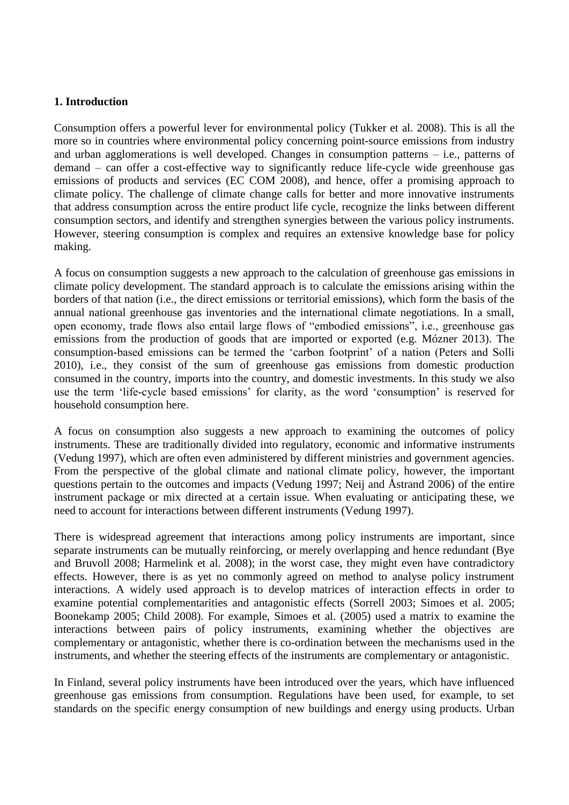# **1. Introduction**

Consumption offers a powerful lever for environmental policy (Tukker et al. 2008). This is all the more so in countries where environmental policy concerning point-source emissions from industry and urban agglomerations is well developed. Changes in consumption patterns – i.e., patterns of demand – can offer a cost-effective way to significantly reduce life-cycle wide greenhouse gas emissions of products and services (EC COM 2008), and hence, offer a promising approach to climate policy. The challenge of climate change calls for better and more innovative instruments that address consumption across the entire product life cycle, recognize the links between different consumption sectors, and identify and strengthen synergies between the various policy instruments. However, steering consumption is complex and requires an extensive knowledge base for policy making.

A focus on consumption suggests a new approach to the calculation of greenhouse gas emissions in climate policy development. The standard approach is to calculate the emissions arising within the borders of that nation (i.e., the direct emissions or territorial emissions), which form the basis of the annual national greenhouse gas inventories and the international climate negotiations. In a small, open economy, trade flows also entail large flows of "embodied emissions", i.e., greenhouse gas emissions from the production of goods that are imported or exported (e.g. Mózner 2013). The consumption-based emissions can be termed the 'carbon footprint' of a nation (Peters and Solli 2010), i.e., they consist of the sum of greenhouse gas emissions from domestic production consumed in the country, imports into the country, and domestic investments. In this study we also use the term 'life-cycle based emissions' for clarity, as the word 'consumption' is reserved for household consumption here.

A focus on consumption also suggests a new approach to examining the outcomes of policy instruments. These are traditionally divided into regulatory, economic and informative instruments (Vedung 1997), which are often even administered by different ministries and government agencies. From the perspective of the global climate and national climate policy, however, the important questions pertain to the outcomes and impacts (Vedung 1997; Neij and Åstrand 2006) of the entire instrument package or mix directed at a certain issue. When evaluating or anticipating these, we need to account for interactions between different instruments (Vedung 1997).

There is widespread agreement that interactions among policy instruments are important, since separate instruments can be mutually reinforcing, or merely overlapping and hence redundant (Bye and Bruvoll 2008; Harmelink et al. 2008); in the worst case, they might even have contradictory effects. However, there is as yet no commonly agreed on method to analyse policy instrument interactions. A widely used approach is to develop matrices of interaction effects in order to examine potential complementarities and antagonistic effects (Sorrell 2003; Simoes et al. 2005; Boonekamp 2005; Child 2008). For example, Simoes et al. (2005) used a matrix to examine the interactions between pairs of policy instruments, examining whether the objectives are complementary or antagonistic, whether there is co-ordination between the mechanisms used in the instruments, and whether the steering effects of the instruments are complementary or antagonistic.

In Finland, several policy instruments have been introduced over the years, which have influenced greenhouse gas emissions from consumption. Regulations have been used, for example, to set standards on the specific energy consumption of new buildings and energy using products. Urban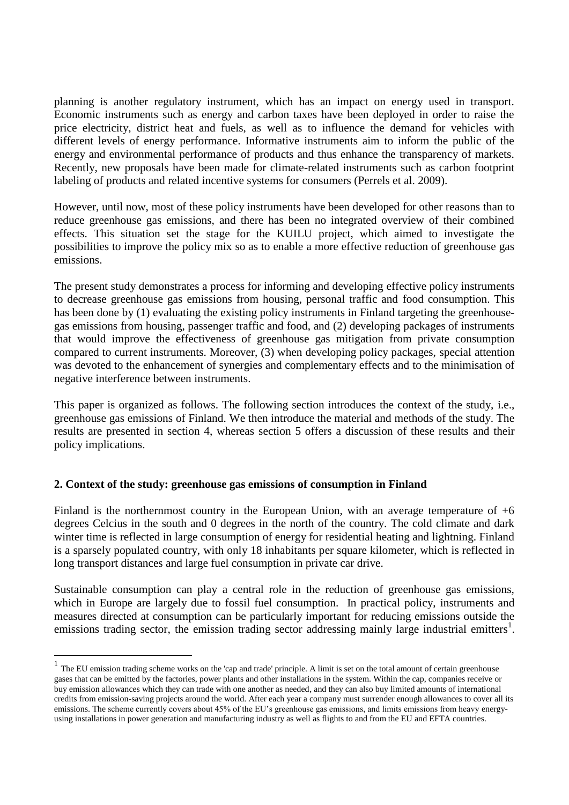planning is another regulatory instrument, which has an impact on energy used in transport. Economic instruments such as energy and carbon taxes have been deployed in order to raise the price electricity, district heat and fuels, as well as to influence the demand for vehicles with different levels of energy performance. Informative instruments aim to inform the public of the energy and environmental performance of products and thus enhance the transparency of markets. Recently, new proposals have been made for climate-related instruments such as carbon footprint labeling of products and related incentive systems for consumers (Perrels et al. 2009).

However, until now, most of these policy instruments have been developed for other reasons than to reduce greenhouse gas emissions, and there has been no integrated overview of their combined effects. This situation set the stage for the KUILU project, which aimed to investigate the possibilities to improve the policy mix so as to enable a more effective reduction of greenhouse gas emissions.

The present study demonstrates a process for informing and developing effective policy instruments to decrease greenhouse gas emissions from housing, personal traffic and food consumption. This has been done by (1) evaluating the existing policy instruments in Finland targeting the greenhousegas emissions from housing, passenger traffic and food, and (2) developing packages of instruments that would improve the effectiveness of greenhouse gas mitigation from private consumption compared to current instruments. Moreover, (3) when developing policy packages, special attention was devoted to the enhancement of synergies and complementary effects and to the minimisation of negative interference between instruments.

This paper is organized as follows. The following section introduces the context of the study, i.e., greenhouse gas emissions of Finland. We then introduce the material and methods of the study. The results are presented in section 4, whereas section 5 offers a discussion of these results and their policy implications.

# **2. Context of the study: greenhouse gas emissions of consumption in Finland**

1

Finland is the northernmost country in the European Union, with an average temperature of +6 degrees Celcius in the south and 0 degrees in the north of the country. The cold climate and dark winter time is reflected in large consumption of energy for residential heating and lightning. Finland is a sparsely populated country, with only 18 inhabitants per square kilometer, which is reflected in long transport distances and large fuel consumption in private car drive.

Sustainable consumption can play a central role in the reduction of greenhouse gas emissions, which in Europe are largely due to fossil fuel consumption. In practical policy, instruments and measures directed at consumption can be particularly important for reducing emissions outside the emissions trading sector, the emission trading sector addressing mainly large industrial emitters<sup>1</sup>.

<sup>&</sup>lt;sup>1</sup> The EU emission trading scheme works on the 'cap and trade' principle. A limit is set on the total amount of certain greenhouse gases that can be emitted by the factories, power plants and other installations in the system. Within the cap, companies receive or buy emission allowances which they can trade with one another as needed, and they can also buy limited amounts of international credits from emission-saving projects around the world. After each year a company must surrender enough allowances to cover all its emissions. The scheme currently covers about 45% of the EU's greenhouse gas emissions, and limits emissions from heavy energyusing installations in power generation and manufacturing industry as well as flights to and from the EU and EFTA countries.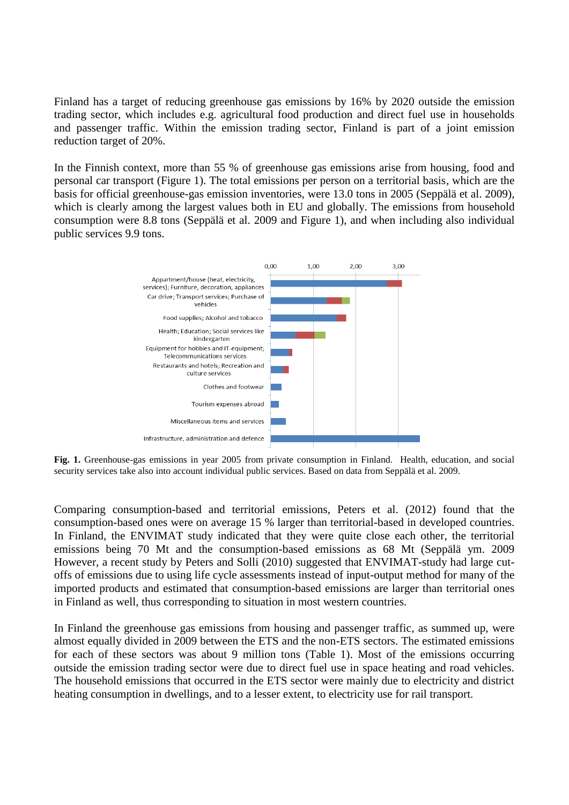Finland has a target of reducing greenhouse gas emissions by 16% by 2020 outside the emission trading sector, which includes e.g. agricultural food production and direct fuel use in households and passenger traffic. Within the emission trading sector, Finland is part of a joint emission reduction target of 20%.

In the Finnish context, more than 55 % of greenhouse gas emissions arise from housing, food and personal car transport (Figure 1). The total emissions per person on a territorial basis, which are the basis for official greenhouse-gas emission inventories, were 13.0 tons in 2005 (Seppälä et al. 2009), which is clearly among the largest values both in EU and globally. The emissions from household consumption were 8.8 tons (Seppälä et al. 2009 and Figure 1), and when including also individual public services 9.9 tons.



**Fig. 1.** Greenhouse-gas emissions in year 2005 from private consumption in Finland. Health, education, and social security services take also into account individual public services. Based on data from Seppälä et al. 2009.

Comparing consumption-based and territorial emissions, Peters et al. (2012) found that the consumption-based ones were on average 15 % larger than territorial-based in developed countries. In Finland, the ENVIMAT study indicated that they were quite close each other, the territorial emissions being 70 Mt and the consumption-based emissions as 68 Mt (Seppälä ym. 2009 However, a recent study by Peters and Solli (2010) suggested that ENVIMAT-study had large cutoffs of emissions due to using life cycle assessments instead of input-output method for many of the imported products and estimated that consumption-based emissions are larger than territorial ones in Finland as well, thus corresponding to situation in most western countries.

In Finland the greenhouse gas emissions from housing and passenger traffic, as summed up, were almost equally divided in 2009 between the ETS and the non-ETS sectors. The estimated emissions for each of these sectors was about 9 million tons (Table 1). Most of the emissions occurring outside the emission trading sector were due to direct fuel use in space heating and road vehicles. The household emissions that occurred in the ETS sector were mainly due to electricity and district heating consumption in dwellings, and to a lesser extent, to electricity use for rail transport.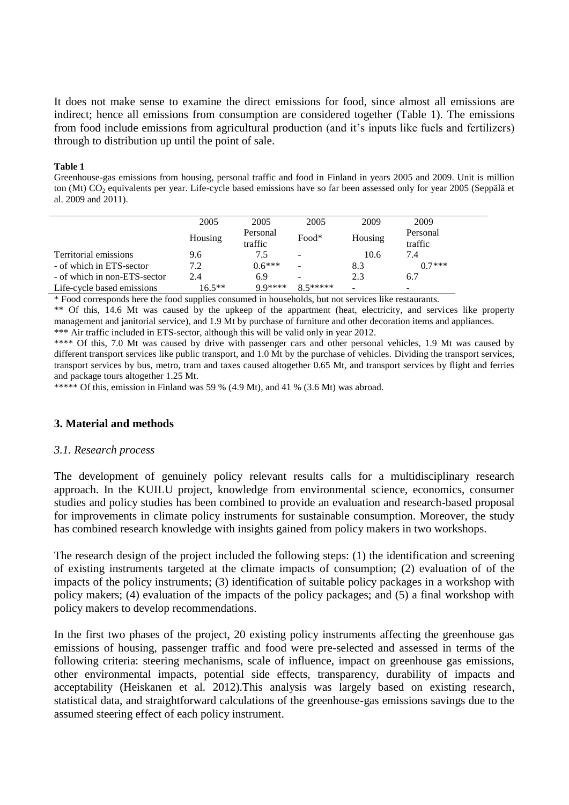It does not make sense to examine the direct emissions for food, since almost all emissions are indirect; hence all emissions from consumption are considered together (Table 1). The emissions from food include emissions from agricultural production (and it's inputs like fuels and fertilizers) through to distribution up until the point of sale.

#### **Table 1**

Greenhouse-gas emissions from housing, personal traffic and food in Finland in years 2005 and 2009. Unit is million ton (Mt) CO<sub>2</sub> equivalents per year. Life-cycle based emissions have so far been assessed only for year 2005 (Seppälä et al. 2009 and 2011).

|                              | 2005      | 2005                | 2005                                                                                                                                        | 2009    | 2009     |
|------------------------------|-----------|---------------------|---------------------------------------------------------------------------------------------------------------------------------------------|---------|----------|
|                              |           | Personal<br>$Food*$ |                                                                                                                                             | Housing | Personal |
|                              | Housing   | traffic             |                                                                                                                                             |         | traffic  |
| Territorial emissions        | 9.6       | 7.5                 | $\qquad \qquad$                                                                                                                             | 10.6    | 7.4      |
| - of which in ETS-sector     | 7.2       | $0.6***$            |                                                                                                                                             | 8.3     | $07***$  |
| - of which in non-ETS-sector | 2.4       | 6.9                 | $\overline{\phantom{0}}$                                                                                                                    | 2.3     | 6.7      |
| Life-cycle based emissions   | $16.5***$ | $QQ$ ****           | $\frac{8}{5}$ $\frac{5}{1}$ $\frac{1}{1}$ $\frac{1}{1}$ $\frac{1}{1}$ $\frac{1}{1}$ $\frac{1}{1}$ $\frac{1}{1}$ $\frac{1}{1}$ $\frac{1}{1}$ |         | -        |

\* Food corresponds here the food supplies consumed in households, but not services like restaurants.

\*\* Of this, 14.6 Mt was caused by the upkeep of the appartment (heat, electricity, and services like property management and janitorial service), and 1.9 Mt by purchase of furniture and other decoration items and appliances. \*\*\* Air traffic included in ETS-sector, although this will be valid only in year 2012.

\*\*\*\* Of this, 7.0 Mt was caused by drive with passenger cars and other personal vehicles, 1.9 Mt was caused by different transport services like public transport, and 1.0 Mt by the purchase of vehicles. Dividing the transport services, transport services by bus, metro, tram and taxes caused altogether 0.65 Mt, and transport services by flight and ferries and package tours altogether 1.25 Mt.

\*\*\*\*\* Of this, emission in Finland was 59 % (4.9 Mt), and 41 % (3.6 Mt) was abroad.

### **3. Material and methods**

#### *3.1. Research process*

The development of genuinely policy relevant results calls for a multidisciplinary research approach. In the KUILU project, knowledge from environmental science, economics, consumer studies and policy studies has been combined to provide an evaluation and research-based proposal for improvements in climate policy instruments for sustainable consumption. Moreover, the study has combined research knowledge with insights gained from policy makers in two workshops.

The research design of the project included the following steps: (1) the identification and screening of existing instruments targeted at the climate impacts of consumption; (2) evaluation of of the impacts of the policy instruments; (3) identification of suitable policy packages in a workshop with policy makers; (4) evaluation of the impacts of the policy packages; and (5) a final workshop with policy makers to develop recommendations.

In the first two phases of the project, 20 existing policy instruments affecting the greenhouse gas emissions of housing, passenger traffic and food were pre-selected and assessed in terms of the following criteria: steering mechanisms, scale of influence, impact on greenhouse gas emissions, other environmental impacts, potential side effects, transparency, durability of impacts and acceptability (Heiskanen et al. 2012).This analysis was largely based on existing research, statistical data, and straightforward calculations of the greenhouse-gas emissions savings due to the assumed steering effect of each policy instrument.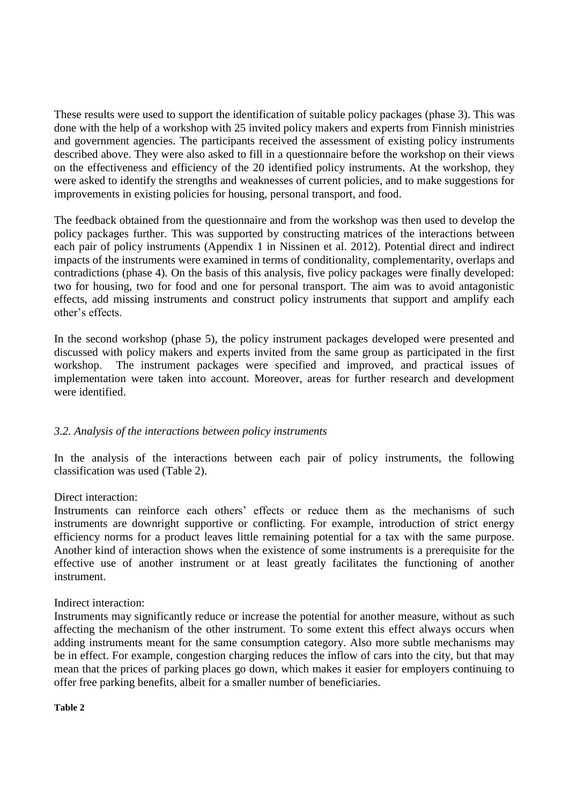These results were used to support the identification of suitable policy packages (phase 3). This was done with the help of a workshop with 25 invited policy makers and experts from Finnish ministries and government agencies. The participants received the assessment of existing policy instruments described above. They were also asked to fill in a questionnaire before the workshop on their views on the effectiveness and efficiency of the 20 identified policy instruments. At the workshop, they were asked to identify the strengths and weaknesses of current policies, and to make suggestions for improvements in existing policies for housing, personal transport, and food.

The feedback obtained from the questionnaire and from the workshop was then used to develop the policy packages further. This was supported by constructing matrices of the interactions between each pair of policy instruments (Appendix 1 in Nissinen et al. 2012). Potential direct and indirect impacts of the instruments were examined in terms of conditionality, complementarity, overlaps and contradictions (phase 4). On the basis of this analysis, five policy packages were finally developed: two for housing, two for food and one for personal transport. The aim was to avoid antagonistic effects, add missing instruments and construct policy instruments that support and amplify each other's effects.

In the second workshop (phase 5), the policy instrument packages developed were presented and discussed with policy makers and experts invited from the same group as participated in the first workshop. The instrument packages were specified and improved, and practical issues of implementation were taken into account. Moreover, areas for further research and development were identified.

### *3.2. Analysis of the interactions between policy instruments*

In the analysis of the interactions between each pair of policy instruments, the following classification was used (Table 2).

### Direct interaction:

Instruments can reinforce each others' effects or reduce them as the mechanisms of such instruments are downright supportive or conflicting. For example, introduction of strict energy efficiency norms for a product leaves little remaining potential for a tax with the same purpose. Another kind of interaction shows when the existence of some instruments is a prerequisite for the effective use of another instrument or at least greatly facilitates the functioning of another instrument.

### Indirect interaction:

Instruments may significantly reduce or increase the potential for another measure, without as such affecting the mechanism of the other instrument. To some extent this effect always occurs when adding instruments meant for the same consumption category. Also more subtle mechanisms may be in effect. For example, congestion charging reduces the inflow of cars into the city, but that may mean that the prices of parking places go down, which makes it easier for employers continuing to offer free parking benefits, albeit for a smaller number of beneficiaries.

**Table 2**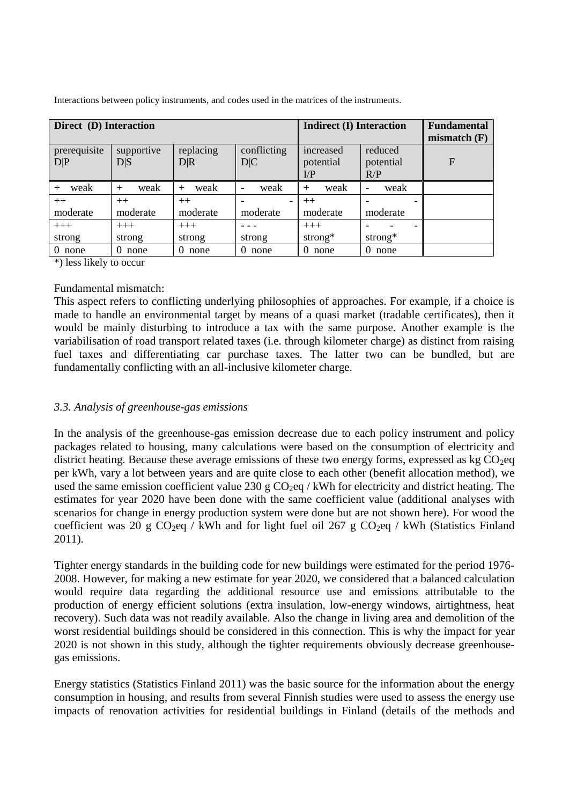| Direct (D) Interaction |                   |                  |                                  | <b>Indirect (I) Interaction</b>                   |                                  | <b>Fundamental</b><br>mismatch $(F)$ |
|------------------------|-------------------|------------------|----------------------------------|---------------------------------------------------|----------------------------------|--------------------------------------|
| prerequisite<br>D P    | supportive<br>D S | replacing<br>D R | conflicting<br>D C               | increased<br>potential<br>$\mathbf{I}/\mathbf{P}$ | reduced<br>potential<br>R/P      | $\mathbf{F}$                         |
| weak                   | weak              | weak<br>$^{+}$   | weak<br>$\overline{\phantom{a}}$ | weak                                              | weak<br>$\overline{\phantom{a}}$ |                                      |
| $++$                   | $++$              | $++$             |                                  | $++$                                              |                                  |                                      |
| moderate               | moderate          | moderate         | moderate                         | moderate                                          | moderate                         |                                      |

- - strong

0 none 0 none 0 none 0 none 0 none 0 none

Interactions between policy instruments, and codes used in the matrices of the instruments.

\*) less likely to occur

 $^{+++}$ strong

# Fundamental mismatch:

 $^{+++}$ strong  $^{+++}$ strong

This aspect refers to conflicting underlying philosophies of approaches. For example, if a choice is made to handle an environmental target by means of a quasi market (tradable certificates), then it would be mainly disturbing to introduce a tax with the same purpose. Another example is the variabilisation of road transport related taxes (i.e. through kilometer charge) as distinct from raising fuel taxes and differentiating car purchase taxes. The latter two can be bundled, but are fundamentally conflicting with an all-inclusive kilometer charge.

 $^{+++}$ strong\*

- - strong\*

### *3.3. Analysis of greenhouse-gas emissions*

In the analysis of the greenhouse-gas emission decrease due to each policy instrument and policy packages related to housing, many calculations were based on the consumption of electricity and district heating. Because these average emissions of these two energy forms, expressed as kg  $CO<sub>2</sub>$ eq per kWh, vary a lot between years and are quite close to each other (benefit allocation method), we used the same emission coefficient value 230 g  $CO<sub>2</sub>eq / kWh$  for electricity and district heating. The estimates for year 2020 have been done with the same coefficient value (additional analyses with scenarios for change in energy production system were done but are not shown here). For wood the coefficient was 20 g  $CO_2$ eq / kWh and for light fuel oil 267 g  $CO_2$ eq / kWh (Statistics Finland 2011).

Tighter energy standards in the building code for new buildings were estimated for the period 1976- 2008. However, for making a new estimate for year 2020, we considered that a balanced calculation would require data regarding the additional resource use and emissions attributable to the production of energy efficient solutions (extra insulation, low-energy windows, airtightness, heat recovery). Such data was not readily available. Also the change in living area and demolition of the worst residential buildings should be considered in this connection. This is why the impact for year 2020 is not shown in this study, although the tighter requirements obviously decrease greenhousegas emissions.

Energy statistics (Statistics Finland 2011) was the basic source for the information about the energy consumption in housing, and results from several Finnish studies were used to assess the energy use impacts of renovation activities for residential buildings in Finland (details of the methods and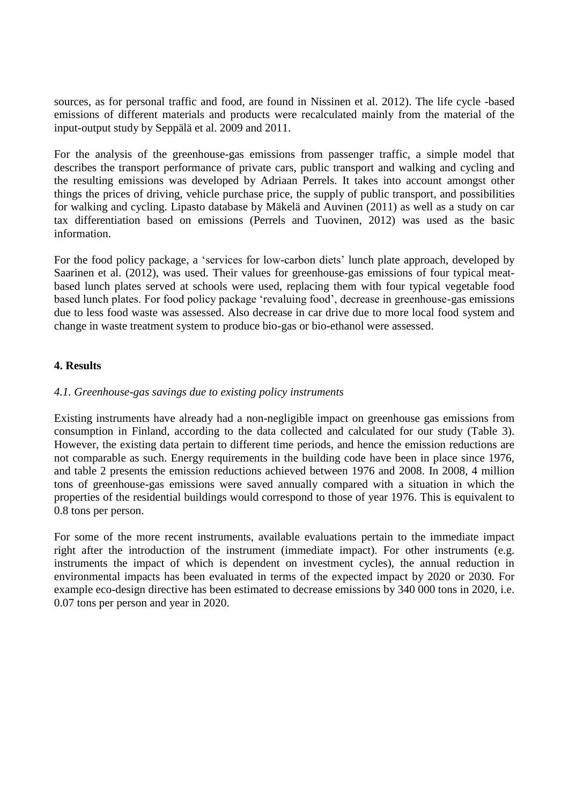sources, as for personal traffic and food, are found in Nissinen et al. 2012). The life cycle -based emissions of different materials and products were recalculated mainly from the material of the input-output study by Seppälä et al. 2009 and 2011.

For the analysis of the greenhouse-gas emissions from passenger traffic, a simple model that describes the transport performance of private cars, public transport and walking and cycling and the resulting emissions was developed by Adriaan Perrels. It takes into account amongst other things the prices of driving, vehicle purchase price, the supply of public transport, and possibilities for walking and cycling. Lipasto database by Mäkelä and Auvinen (2011) as well as a study on car tax differentiation based on emissions (Perrels and Tuovinen, 2012) was used as the basic information.

For the food policy package, a 'services for low-carbon diets' lunch plate approach, developed by Saarinen et al. (2012), was used. Their values for greenhouse-gas emissions of four typical meatbased lunch plates served at schools were used, replacing them with four typical vegetable food based lunch plates. For food policy package 'revaluing food', decrease in greenhouse-gas emissions due to less food waste was assessed. Also decrease in car drive due to more local food system and change in waste treatment system to produce bio-gas or bio-ethanol were assessed.

# **4. Results**

# *4.1. Greenhouse-gas savings due to existing policy instruments*

Existing instruments have already had a non-negligible impact on greenhouse gas emissions from consumption in Finland, according to the data collected and calculated for our study (Table 3). However, the existing data pertain to different time periods, and hence the emission reductions are not comparable as such. Energy requirements in the building code have been in place since 1976, and table 2 presents the emission reductions achieved between 1976 and 2008. In 2008, 4 million tons of greenhouse-gas emissions were saved annually compared with a situation in which the properties of the residential buildings would correspond to those of year 1976. This is equivalent to 0.8 tons per person.

For some of the more recent instruments, available evaluations pertain to the immediate impact right after the introduction of the instrument (immediate impact). For other instruments (e.g. instruments the impact of which is dependent on investment cycles), the annual reduction in environmental impacts has been evaluated in terms of the expected impact by 2020 or 2030. For example eco-design directive has been estimated to decrease emissions by 340 000 tons in 2020, i.e. 0.07 tons per person and year in 2020.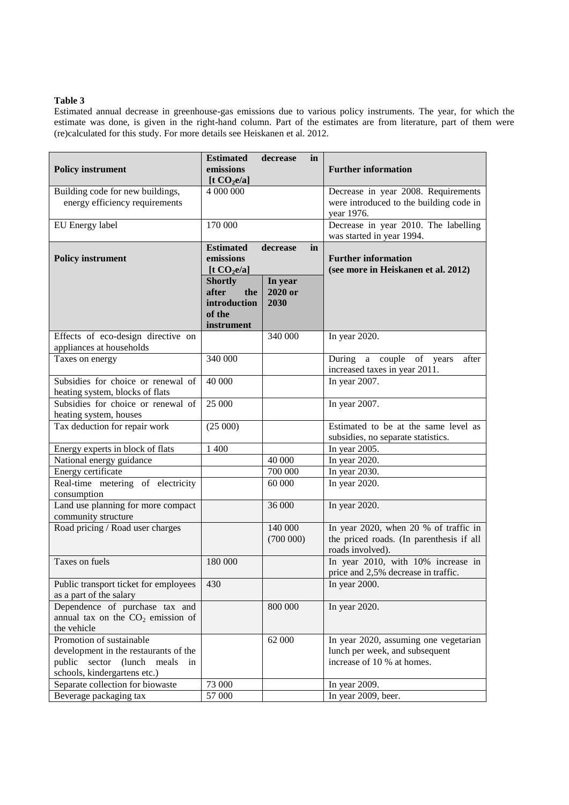#### **Table 3**

Estimated annual decrease in greenhouse-gas emissions due to various policy instruments. The year, for which the estimate was done, is given in the right-hand column. Part of the estimates are from literature, part of them were (re)calculated for this study. For more details see Heiskanen et al. 2012.

|                                                                       | <b>Estimated</b> | decrease<br>in |                                          |  |
|-----------------------------------------------------------------------|------------------|----------------|------------------------------------------|--|
| <b>Policy instrument</b>                                              | emissions        |                | <b>Further information</b>               |  |
|                                                                       | [t $CO2e/a$ ]    |                |                                          |  |
| Building code for new buildings,                                      | 4 000 000        |                | Decrease in year 2008. Requirements      |  |
| energy efficiency requirements                                        |                  |                | were introduced to the building code in  |  |
|                                                                       |                  |                | year 1976.                               |  |
| EU Energy label                                                       | 170 000          |                | Decrease in year 2010. The labelling     |  |
|                                                                       |                  |                | was started in year 1994.                |  |
|                                                                       | <b>Estimated</b> | decrease<br>in |                                          |  |
| <b>Policy instrument</b>                                              | emissions        |                | <b>Further information</b>               |  |
|                                                                       | [t $CO2e/a$ ]    |                | (see more in Heiskanen et al. 2012)      |  |
|                                                                       | <b>Shortly</b>   | In year        |                                          |  |
|                                                                       | after<br>the     | 2020 or        |                                          |  |
|                                                                       | introduction     | 2030           |                                          |  |
|                                                                       | of the           |                |                                          |  |
|                                                                       | instrument       |                |                                          |  |
| Effects of eco-design directive on                                    |                  | 340 000        | In year 2020.                            |  |
| appliances at households                                              |                  |                |                                          |  |
| Taxes on energy                                                       | 340 000          |                | a couple of years<br>During<br>after     |  |
| Subsidies for choice or renewal of                                    |                  |                | increased taxes in year 2011.            |  |
|                                                                       | 40 000           |                | In year 2007.                            |  |
| heating system, blocks of flats<br>Subsidies for choice or renewal of | 25 000           |                |                                          |  |
|                                                                       |                  |                | In year 2007.                            |  |
| heating system, houses<br>Tax deduction for repair work               | (25000)          |                | Estimated to be at the same level as     |  |
|                                                                       |                  |                | subsidies, no separate statistics.       |  |
| Energy experts in block of flats                                      | 1 400            |                | In year 2005.                            |  |
| National energy guidance                                              |                  | 40 000         | In year 2020.                            |  |
| Energy certificate                                                    |                  | 700 000        | In year 2030.                            |  |
| Real-time metering of electricity                                     |                  | 60 000         | In year 2020.                            |  |
| consumption                                                           |                  |                |                                          |  |
| Land use planning for more compact                                    |                  | 36 000         | In year 2020.                            |  |
| community structure                                                   |                  |                |                                          |  |
| Road pricing / Road user charges                                      |                  | 140 000        | In year 2020, when 20 % of traffic in    |  |
|                                                                       |                  | (700000)       | the priced roads. (In parenthesis if all |  |
|                                                                       |                  |                | roads involved).                         |  |
| Taxes on fuels                                                        | 180 000          |                | In year 2010, with 10% increase in       |  |
|                                                                       |                  |                | price and 2,5% decrease in traffic.      |  |
| Public transport ticket for employees                                 | 430              |                | In year $2000$ .                         |  |
| as a part of the salary                                               |                  |                |                                          |  |
| Dependence of purchase tax and                                        |                  | 800 000        | In year 2020.                            |  |
| annual tax on the $CO2$ emission of                                   |                  |                |                                          |  |
| the vehicle                                                           |                  |                |                                          |  |
| Promotion of sustainable                                              |                  | 62 000         | In year 2020, assuming one vegetarian    |  |
| development in the restaurants of the                                 |                  |                | lunch per week, and subsequent           |  |
| (lunch)<br>public<br>sector<br>meals<br>in                            |                  |                | increase of 10 % at homes.               |  |
| schools, kindergartens etc.)                                          |                  |                |                                          |  |
| Separate collection for biowaste                                      | 73 000           |                | In year 2009.                            |  |
| Beverage packaging tax                                                | 57 000           |                | In year 2009, beer.                      |  |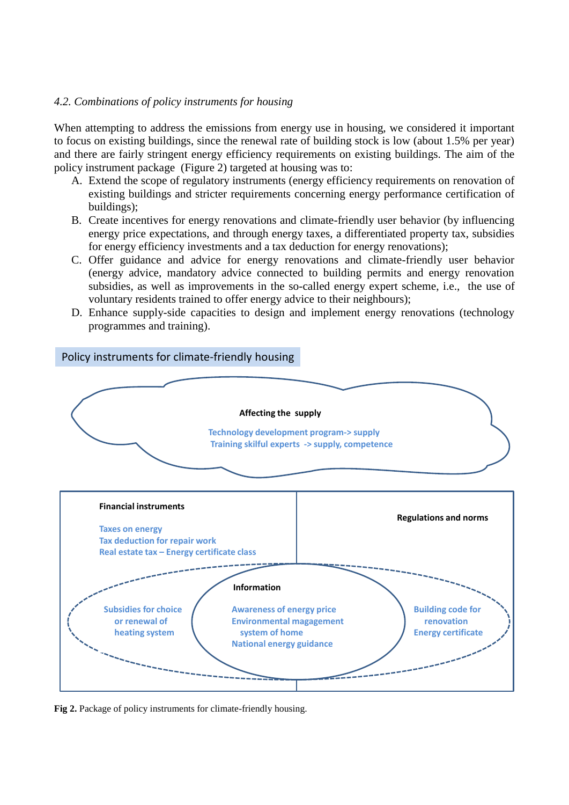# *4.2. Combinations of policy instruments for housing*

When attempting to address the emissions from energy use in housing, we considered it important to focus on existing buildings, since the renewal rate of building stock is low (about 1.5% per year) and there are fairly stringent energy efficiency requirements on existing buildings. The aim of the policy instrument package (Figure 2) targeted at housing was to:

- A. Extend the scope of regulatory instruments (energy efficiency requirements on renovation of existing buildings and stricter requirements concerning energy performance certification of buildings);
- B. Create incentives for energy renovations and climate-friendly user behavior (by influencing energy price expectations, and through energy taxes, a differentiated property tax, subsidies for energy efficiency investments and a tax deduction for energy renovations);
- C. Offer guidance and advice for energy renovations and climate-friendly user behavior (energy advice, mandatory advice connected to building permits and energy renovation subsidies, as well as improvements in the so-called energy expert scheme, i.e., the use of voluntary residents trained to offer energy advice to their neighbours);
- D. Enhance supply-side capacities to design and implement energy renovations (technology programmes and training).



**Fig 2.** Package of policy instruments for climate-friendly housing.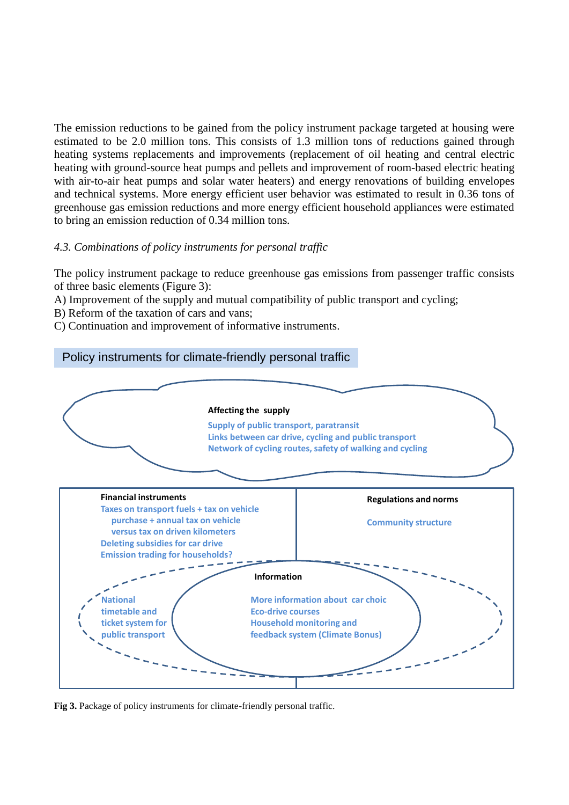The emission reductions to be gained from the policy instrument package targeted at housing were estimated to be 2.0 million tons. This consists of 1.3 million tons of reductions gained through heating systems replacements and improvements (replacement of oil heating and central electric heating with ground-source heat pumps and pellets and improvement of room-based electric heating with air-to-air heat pumps and solar water heaters) and energy renovations of building envelopes and technical systems. More energy efficient user behavior was estimated to result in 0.36 tons of greenhouse gas emission reductions and more energy efficient household appliances were estimated to bring an emission reduction of 0.34 million tons.

# *4.3. Combinations of policy instruments for personal traffic*

The policy instrument package to reduce greenhouse gas emissions from passenger traffic consists of three basic elements (Figure 3):

- A) Improvement of the supply and mutual compatibility of public transport and cycling;
- B) Reform of the taxation of cars and vans;
- C) Continuation and improvement of informative instruments.

# Policy instruments for climate-friendly personal traffic



**Fig 3.** Package of policy instruments for climate-friendly personal traffic.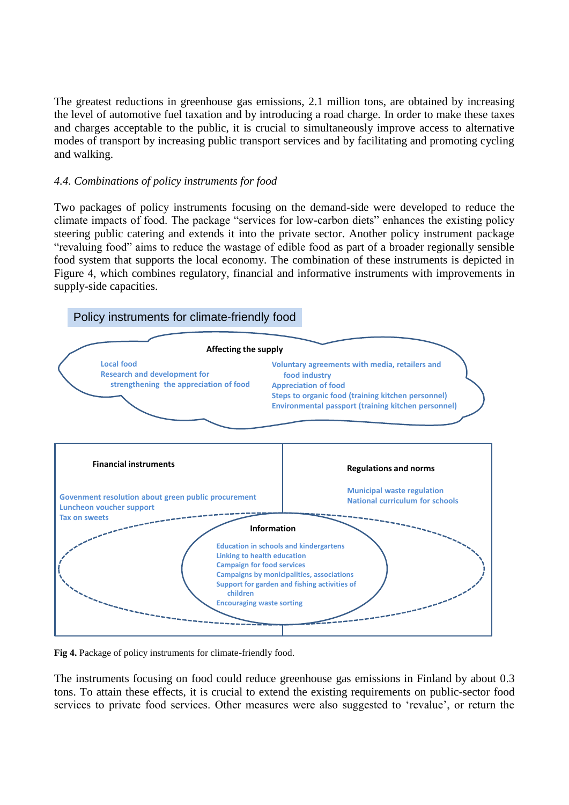The greatest reductions in greenhouse gas emissions, 2.1 million tons, are obtained by increasing the level of automotive fuel taxation and by introducing a road charge. In order to make these taxes and charges acceptable to the public, it is crucial to simultaneously improve access to alternative modes of transport by increasing public transport services and by facilitating and promoting cycling and walking.

# *4.4. Combinations of policy instruments for food*

Two packages of policy instruments focusing on the demand-side were developed to reduce the climate impacts of food. The package "services for low-carbon diets" enhances the existing policy steering public catering and extends it into the private sector. Another policy instrument package "revaluing food" aims to reduce the wastage of edible food as part of a broader regionally sensible food system that supports the local economy. The combination of these instruments is depicted in Figure 4, which combines regulatory, financial and informative instruments with improvements in supply-side capacities.



**Fig 4.** Package of policy instruments for climate-friendly food.

The instruments focusing on food could reduce greenhouse gas emissions in Finland by about 0.3 tons. To attain these effects, it is crucial to extend the existing requirements on public-sector food services to private food services. Other measures were also suggested to 'revalue', or return the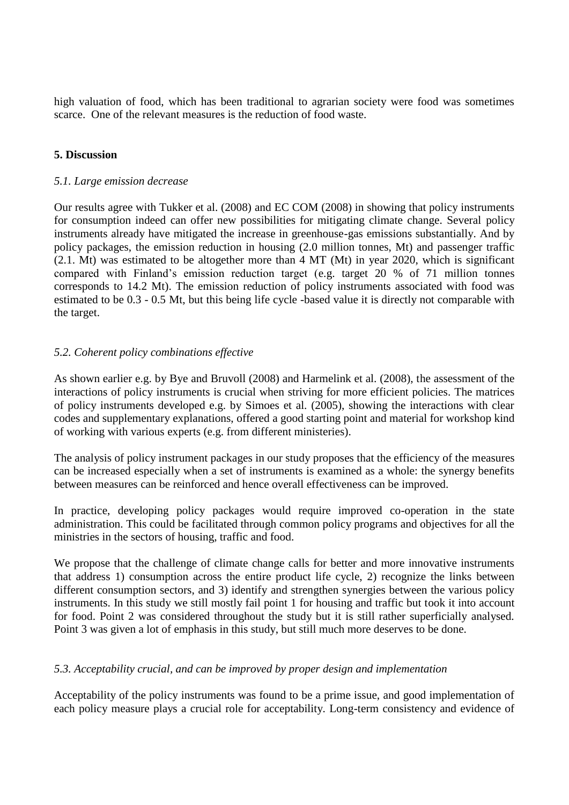high valuation of food, which has been traditional to agrarian society were food was sometimes scarce. One of the relevant measures is the reduction of food waste.

# **5. Discussion**

### *5.1. Large emission decrease*

Our results agree with Tukker et al. (2008) and EC COM (2008) in showing that policy instruments for consumption indeed can offer new possibilities for mitigating climate change. Several policy instruments already have mitigated the increase in greenhouse-gas emissions substantially. And by policy packages, the emission reduction in housing (2.0 million tonnes, Mt) and passenger traffic (2.1. Mt) was estimated to be altogether more than 4 MT (Mt) in year 2020, which is significant compared with Finland's emission reduction target (e.g. target 20 % of 71 million tonnes corresponds to 14.2 Mt). The emission reduction of policy instruments associated with food was estimated to be 0.3 - 0.5 Mt, but this being life cycle -based value it is directly not comparable with the target.

# *5.2. Coherent policy combinations effective*

As shown earlier e.g. by Bye and Bruvoll (2008) and Harmelink et al. (2008), the assessment of the interactions of policy instruments is crucial when striving for more efficient policies. The matrices of policy instruments developed e.g. by Simoes et al. (2005), showing the interactions with clear codes and supplementary explanations, offered a good starting point and material for workshop kind of working with various experts (e.g. from different ministeries).

The analysis of policy instrument packages in our study proposes that the efficiency of the measures can be increased especially when a set of instruments is examined as a whole: the synergy benefits between measures can be reinforced and hence overall effectiveness can be improved.

In practice, developing policy packages would require improved co-operation in the state administration. This could be facilitated through common policy programs and objectives for all the ministries in the sectors of housing, traffic and food.

We propose that the challenge of climate change calls for better and more innovative instruments that address 1) consumption across the entire product life cycle, 2) recognize the links between different consumption sectors, and 3) identify and strengthen synergies between the various policy instruments. In this study we still mostly fail point 1 for housing and traffic but took it into account for food. Point 2 was considered throughout the study but it is still rather superficially analysed. Point 3 was given a lot of emphasis in this study, but still much more deserves to be done.

# *5.3. Acceptability crucial, and can be improved by proper design and implementation*

Acceptability of the policy instruments was found to be a prime issue, and good implementation of each policy measure plays a crucial role for acceptability. Long-term consistency and evidence of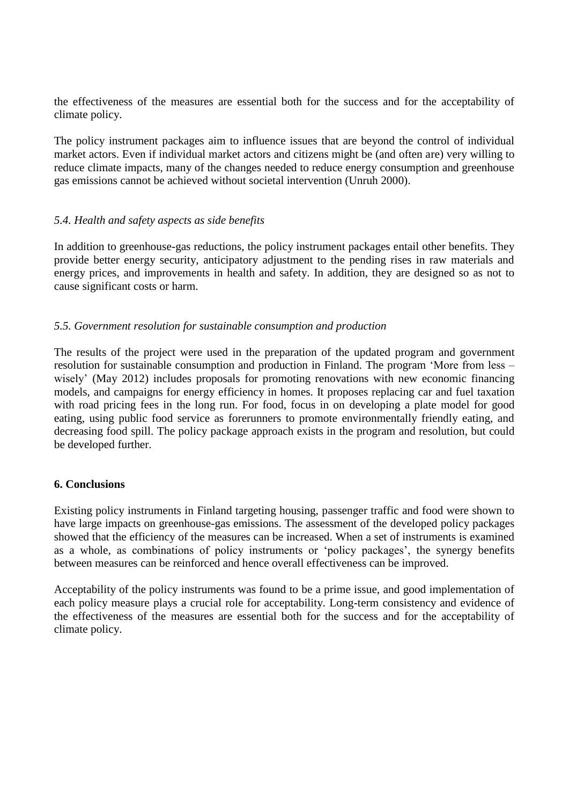the effectiveness of the measures are essential both for the success and for the acceptability of climate policy.

The policy instrument packages aim to influence issues that are beyond the control of individual market actors. Even if individual market actors and citizens might be (and often are) very willing to reduce climate impacts, many of the changes needed to reduce energy consumption and greenhouse gas emissions cannot be achieved without societal intervention (Unruh 2000).

# *5.4. Health and safety aspects as side benefits*

In addition to greenhouse-gas reductions, the policy instrument packages entail other benefits. They provide better energy security, anticipatory adjustment to the pending rises in raw materials and energy prices, and improvements in health and safety. In addition, they are designed so as not to cause significant costs or harm.

# *5.5. Government resolution for sustainable consumption and production*

The results of the project were used in the preparation of the updated program and government resolution for sustainable consumption and production in Finland. The program 'More from less – wisely' (May 2012) includes proposals for promoting renovations with new economic financing models, and campaigns for energy efficiency in homes. It proposes replacing car and fuel taxation with road pricing fees in the long run. For food, focus in on developing a plate model for good eating, using public food service as forerunners to promote environmentally friendly eating, and decreasing food spill. The policy package approach exists in the program and resolution, but could be developed further.

### **6. Conclusions**

Existing policy instruments in Finland targeting housing, passenger traffic and food were shown to have large impacts on greenhouse-gas emissions. The assessment of the developed policy packages showed that the efficiency of the measures can be increased. When a set of instruments is examined as a whole, as combinations of policy instruments or 'policy packages', the synergy benefits between measures can be reinforced and hence overall effectiveness can be improved.

Acceptability of the policy instruments was found to be a prime issue, and good implementation of each policy measure plays a crucial role for acceptability. Long-term consistency and evidence of the effectiveness of the measures are essential both for the success and for the acceptability of climate policy.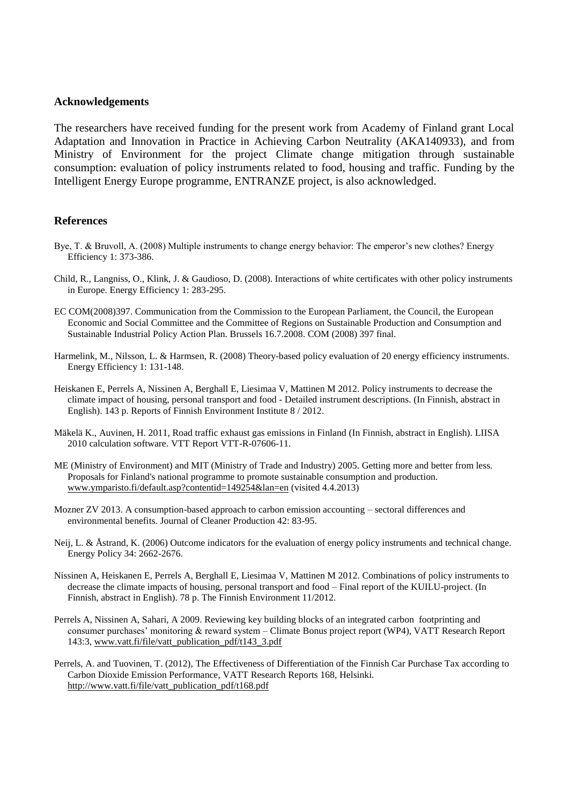#### **Acknowledgements**

The researchers have received funding for the present work from Academy of Finland grant Local Adaptation and Innovation in Practice in Achieving Carbon Neutrality (AKA140933), and from Ministry of Environment for the project Climate change mitigation through sustainable consumption: evaluation of policy instruments related to food, housing and traffic. Funding by the Intelligent Energy Europe programme, ENTRANZE project, is also acknowledged.

#### **References**

- Bye, T. & Bruvoll, A. (2008) Multiple instruments to change energy behavior: The emperor's new clothes? Energy Efficiency 1: 373-386.
- Child, R., Langniss, O., Klink, J. & Gaudioso, D. (2008). Interactions of white certificates with other policy instruments in Europe. Energy Efficiency 1: 283-295.
- EC COM(2008)397. Communication from the Commission to the European Parliament, the Council, the European Economic and Social Committee and the Committee of Regions on Sustainable Production and Consumption and Sustainable Industrial Policy Action Plan. Brussels 16.7.2008. COM (2008) 397 final.
- Harmelink, M., Nilsson, L. & Harmsen, R. (2008) Theory-based policy evaluation of 20 energy efficiency instruments. Energy Efficiency 1: 131-148.
- Heiskanen E, Perrels A, Nissinen A, Berghall E, Liesimaa V, Mattinen M 2012. Policy instruments to decrease the climate impact of housing, personal transport and food - Detailed instrument descriptions. (In Finnish, abstract in English). 143 p. Reports of Finnish Environment Institute 8 / 2012.
- Mäkelä K., Auvinen, H. 2011, Road traffic exhaust gas emissions in Finland (In Finnish, abstract in English). LIISA 2010 calculation software. VTT Report VTT-R-07606-11.
- ME (Ministry of Environment) and MIT (Ministry of Trade and Industry) 2005. Getting more and better from less. Proposals for Finland's national programme to promote sustainable consumption and production. [www.ymparisto.fi/default.asp?contentid=149254&lan=en](http://www.ymparisto.fi/default.asp?contentid=149254&lan=en) (visited 4.4.2013)
- Mozner ZV 2013. A consumption-based approach to carbon emission accounting sectoral differences and environmental benefits. Journal of Cleaner Production 42: 83-95.
- Neij, L. & Åstrand, K. (2006) Outcome indicators for the evaluation of energy policy instruments and technical change. Energy Policy 34: 2662-2676.
- Nissinen A, Heiskanen E, Perrels A, Berghall E, Liesimaa V, Mattinen M 2012. Combinations of policy instruments to decrease the climate impacts of housing, personal transport and food – Final report of the KUILU-project. (In Finnish, abstract in English). 78 p. The Finnish Environment 11/2012.
- Perrels A, Nissinen A, Sahari, A 2009. Reviewing key building blocks of an integrated carbon footprinting and consumer purchases' monitoring & reward system – Climate Bonus project report (WP4), VATT Research Report 143:3[, www.vatt.fi/file/vatt\\_publication\\_pdf/t143\\_3.pdf](http://www.vatt.fi/file/vatt_publication_pdf/t143_3.pdf)
- Perrels, A. and Tuovinen, T. (2012), The Effectiveness of Differentiation of the Finnish Car Purchase Tax according to Carbon Dioxide Emission Performance, VATT Research Reports 168, Helsinki. [http://www.vatt.fi/file/vatt\\_publication\\_pdf/t168.pdf](http://www.vatt.fi/file/vatt_publication_pdf/t168.pdf)